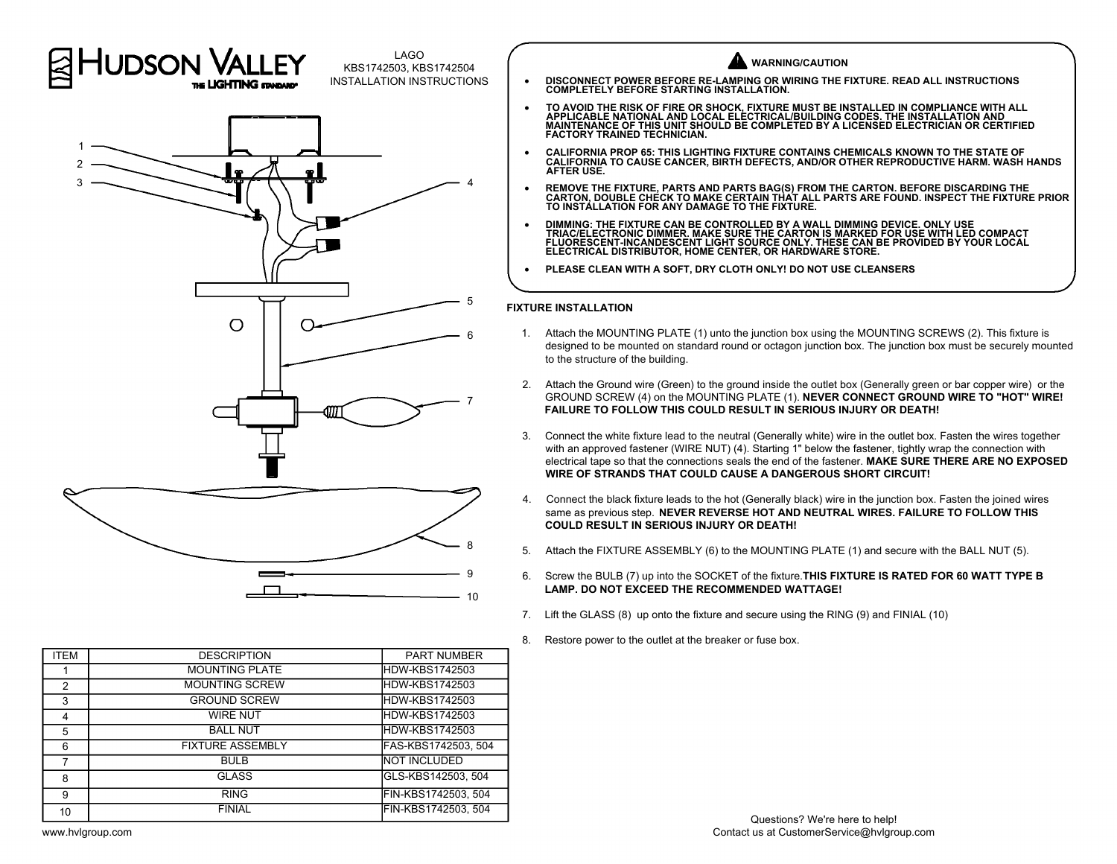

| <b>ITEM</b>    | <b>DESCRIPTION</b>      | <b>PART NUMBER</b>  |
|----------------|-------------------------|---------------------|
|                | <b>MOUNTING PLATE</b>   | HDW-KBS1742503      |
| $\mathfrak{p}$ | <b>MOUNTING SCREW</b>   | HDW-KBS1742503      |
| 3              | <b>GROUND SCREW</b>     | HDW-KBS1742503      |
| 4              | <b>WIRE NUT</b>         | HDW-KBS1742503      |
| 5              | <b>BALL NUT</b>         | HDW-KBS1742503      |
| 6              | <b>FIXTURE ASSEMBLY</b> | FAS-KBS1742503, 504 |
|                | <b>BULB</b>             | <b>NOT INCLUDED</b> |
| 8              | <b>GLASS</b>            | GLS-KBS142503, 504  |
| 9              | <b>RING</b>             | FIN-KBS1742503, 504 |
| 10             | <b>FINIAL</b>           | FIN-KBS1742503, 504 |

## **WARNING/CAUTION**

- · **DISCONNECT POWER BEFORE RE-LAMPING OR WIRING THE FIXTURE. READ ALL INSTRUCTIONS COMPLETELY BEFORE STARTING INSTALLATION.**
- TO AVOID THE RISK OF FIRE OR SHOCK, FIXTURE MUST BE INSTALLED IN COMPLIANCE WITH ALL<br>APPLICABLE NATIONAL AND LOCAL ELECTRICAL/BUILDING CODES. THE INSTALLATION AND<br>MAINTENANCE OF THIS UNIT SHOULD BE COMPLETED BY A **FACTORY TRAINED TECHNICIAN.**
- · **CALIFORNIA PROP 65: THIS LIGHTING FIXTURE CONTAINS CHEMICALS KNOWN TO THE STATE OF CALIFORNIA TO CAUSE CANCER, BIRTH DEFECTS, AND/OR OTHER REPRODUCTIVE HARM. WASH HANDS AFTER USE.**
- · **REMOVE THE FIXTURE, PARTS AND PARTS BAG(S) FROM THE CARTON. BEFORE DISCARDING THE CARTON, DOUBLE CHECK TO MAKE CERTAIN THAT ALL PARTS ARE FOUND. INSPECT THE FIXTURE PRIOR TO INSTALLATION FOR ANY DAMAGE TO THE FIXTURE.**
- DIMMING: THE FIXTURE CAN BE CONTROLLED BY A WALL DIMMING DEVICE. ONLY USE<br>TRIAC/ELECTRONIC DIMMER. MAKE SURE THE CARTON IS MARKED FOR USE WITH LED COMPACT<br>FLUORESCENT-INCANDESCENT LIGHT SOURCE ONLY. THESE CAN BE PROVIDED **ELECTRICAL DISTRIBUTOR, HOME CENTER, OR HARDWARE STORE.**
- · **PLEASE CLEAN WITH A SOFT, DRY CLOTH ONLY! DO NOT USE CLEANSERS**

## **FIXTURE INSTALLATION** 5

- 1. Attach the MOUNTING PLATE (1) unto the junction box using the MOUNTING SCREWS (2). This fixture is designed to be mounted on standard round or octagon junction box. The junction box must be securely mounted to the structure of the building. 2. Attach the MOUNTING PLATE (1) unto the junction box using the MOUNTING SCREWS (2). This fixture is<br>designed to be mounted on standard round or octagon junction box. The junction box must be securely mounted<br>to the struc
- GROUND SCREW (4) on the MOUNTING PLATE (1). **NEVER CONNECT GROUND WIRE TO "HOT" WIRE! FAILURE TO FOLLOW THIS COULD RESULT IN SERIOUS INJURY OR DEATH!** 3. Attach the Ground wire (Green) to the ground inside the outlet box (Generally green or bar copper wire) or the GROUND SCREW (4) on the MOUNTING PLATE (1). **NEVER CONNECT GROUND WIRE TO "HOT" WIRE!**<br>FAILURE TO FOLLOW THI
- with an approved fastener (WIRE NUT) (4). Starting 1" below the fastener, tightly wrap the connection with electrical tape so that the connections seals the end of the fastener. **MAKE SURE THERE ARE NO EXPOSED WIRE OF STRANDS THAT COULD CAUSE A DANGEROUS SHORT CIRCUIT!** 3. Connect the white fixture lead to the neutral (Generally white) wire in the outlet box. Fasten the wires together with an approved fastener (WIRE NUT) (4). Starting 1" below the fastener, thank E SURE THERE ARE NO EXPOS
- same as previous step. **NEVER REVERSE HOT AND NEUTRAL WIRES. FAILURE TO FOLLOW THIS COULD RESULT IN SERIOUS INJURY OR DEATH!** 5. Connect the black fixture leads to the hot (Generally black) wire in the junction box. Fasten the joined wires<br>
same as previous step. **NEVER REVERSE HOT AND NEUTRAL WIRES. FAILURE TO FOLLOW THIS**<br> **SOULD RESULT IN SERI**
- 
- Same as previous step. NEVER REVERSE HOT AND NEUTRAL WIRES. FAILURE TO FOLLOW THIS<br>COULD RESULT IN SERIOUS INJURY OR DEATH!<br>5. Attach the FIXTURE ASSEMBLY (6) to the MOUNTING PLATE (1) and secure with the BALL NUT (5).<br>6. **LAMP. DO NOT EXCEED THE RECOMMENDED WATTAGE!** 3. Attach the FIXTURE ASSEMBLY (6) to the MOUNTING PLATE (1) and secure with the BA<br>6. Screw the BULB (7) up into the SOCKET of the fixture. **THIS FIXTURE IS RATED FOR 60 I**<br>**LAMP. DO NOT EXCEED THE RECOMMENDED WATTAGE!**<br>7
- 8. Lift the GLASS (8) up onto the fixture and secure using the RING (9) and FINIAL (10)<br>8. Restore power to the outlet at the breaker or fuse box.
-